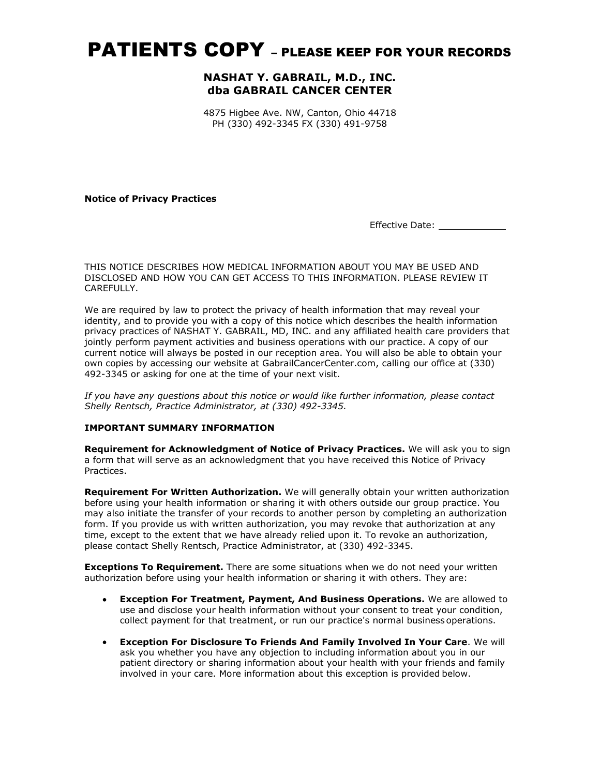# PATIENTS COPY – PLEASE KEEP FOR YOUR RECORDS

# NASHAT Y. GABRAIL, M.D., INC. dba GABRAIL CANCER CENTER

4875 Higbee Ave. NW, Canton, Ohio 44718 PH (330) 492-3345 FX (330) 491-9758

Notice of Privacy Practices

Effective Date: \_\_\_\_\_\_\_\_\_\_\_\_\_

### THIS NOTICE DESCRIBES HOW MEDICAL INFORMATION ABOUT YOU MAY BE USED AND DISCLOSED AND HOW YOU CAN GET ACCESS TO THIS INFORMATION. PLEASE REVIEW IT CARFFULLY.

We are required by law to protect the privacy of health information that may reveal your identity, and to provide you with a copy of this notice which describes the health information privacy practices of NASHAT Y. GABRAIL, MD, INC. and any affiliated health care providers that jointly perform payment activities and business operations with our practice. A copy of our current notice will always be posted in our reception area. You will also be able to obtain your own copies by accessing our website at GabrailCancerCenter.com, calling our office at (330) 492-3345 or asking for one at the time of your next visit.

If you have any questions about this notice or would like further information, please contact Shelly Rentsch, Practice Administrator, at (330) 492-3345.

### IMPORTANT SUMMARY INFORMATION

Requirement for Acknowledgment of Notice of Privacy Practices. We will ask you to sign a form that will serve as an acknowledgment that you have received this Notice of Privacy Practices.

Requirement For Written Authorization. We will generally obtain your written authorization before using your health information or sharing it with others outside our group practice. You may also initiate the transfer of your records to another person by completing an authorization form. If you provide us with written authorization, you may revoke that authorization at any time, except to the extent that we have already relied upon it. To revoke an authorization, please contact Shelly Rentsch, Practice Administrator, at (330) 492-3345.

**Exceptions To Requirement.** There are some situations when we do not need your written authorization before using your health information or sharing it with others. They are:

- Exception For Treatment, Payment, And Business Operations. We are allowed to use and disclose your health information without your consent to treat your condition, collect payment for that treatment, or run our practice's normal business operations.
- Exception For Disclosure To Friends And Family Involved In Your Care. We will ask you whether you have any objection to including information about you in our patient directory or sharing information about your health with your friends and family involved in your care. More information about this exception is provided below.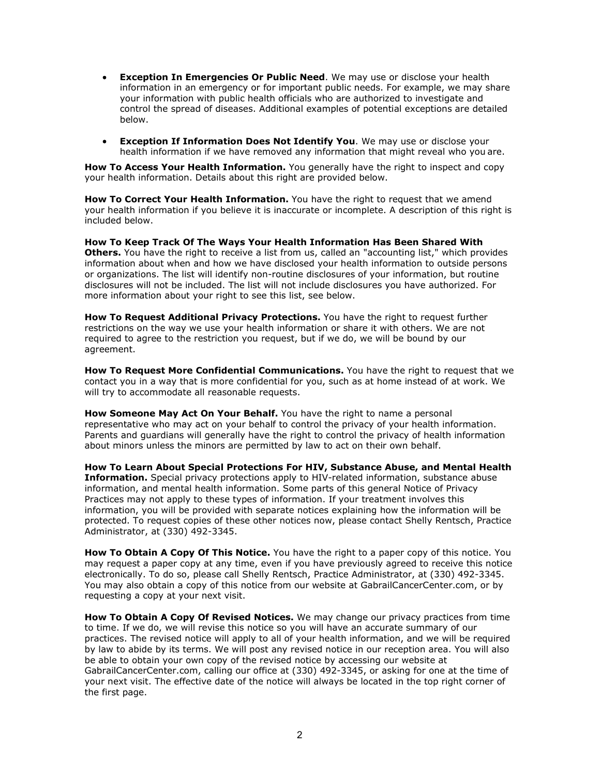- **Exception In Emergencies Or Public Need.** We may use or disclose your health information in an emergency or for important public needs. For example, we may share your information with public health officials who are authorized to investigate and control the spread of diseases. Additional examples of potential exceptions are detailed below.
- Exception If Information Does Not Identify You. We may use or disclose your health information if we have removed any information that might reveal who you are.

How To Access Your Health Information. You generally have the right to inspect and copy your health information. Details about this right are provided below.

**How To Correct Your Health Information.** You have the right to request that we amend your health information if you believe it is inaccurate or incomplete. A description of this right is included below.

How To Keep Track Of The Ways Your Health Information Has Been Shared With Others. You have the right to receive a list from us, called an "accounting list," which provides information about when and how we have disclosed your health information to outside persons or organizations. The list will identify non-routine disclosures of your information, but routine disclosures will not be included. The list will not include disclosures you have authorized. For more information about your right to see this list, see below.

How To Request Additional Privacy Protections. You have the right to request further restrictions on the way we use your health information or share it with others. We are not required to agree to the restriction you request, but if we do, we will be bound by our agreement.

How To Request More Confidential Communications. You have the right to request that we contact you in a way that is more confidential for you, such as at home instead of at work. We will try to accommodate all reasonable requests.

How Someone May Act On Your Behalf. You have the right to name a personal representative who may act on your behalf to control the privacy of your health information. Parents and guardians will generally have the right to control the privacy of health information about minors unless the minors are permitted by law to act on their own behalf.

How To Learn About Special Protections For HIV, Substance Abuse, and Mental Health Information. Special privacy protections apply to HIV-related information, substance abuse information, and mental health information. Some parts of this general Notice of Privacy Practices may not apply to these types of information. If your treatment involves this information, you will be provided with separate notices explaining how the information will be protected. To request copies of these other notices now, please contact Shelly Rentsch, Practice Administrator, at (330) 492-3345.

How To Obtain A Copy Of This Notice. You have the right to a paper copy of this notice. You may request a paper copy at any time, even if you have previously agreed to receive this notice electronically. To do so, please call Shelly Rentsch, Practice Administrator, at (330) 492-3345. You may also obtain a copy of this notice from our website at GabrailCancerCenter.com, or by requesting a copy at your next visit.

How To Obtain A Copy Of Revised Notices. We may change our privacy practices from time to time. If we do, we will revise this notice so you will have an accurate summary of our practices. The revised notice will apply to all of your health information, and we will be required by law to abide by its terms. We will post any revised notice in our reception area. You will also be able to obtain your own copy of the revised notice by accessing our website at GabrailCancerCenter.com, calling our office at (330) 492-3345, or asking for one at the time of your next visit. The effective date of the notice will always be located in the top right corner of the first page.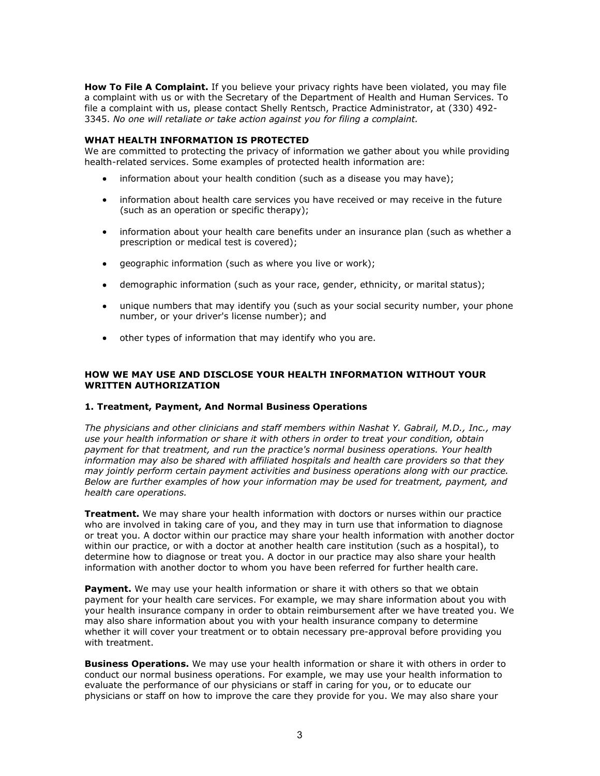How To File A Complaint. If you believe your privacy rights have been violated, you may file a complaint with us or with the Secretary of the Department of Health and Human Services. To file a complaint with us, please contact Shelly Rentsch, Practice Administrator, at (330) 492- 3345. No one will retaliate or take action against you for filing a complaint. **File A Complaint.** If you believe your privacy rights have been violated, you may file<br>aint with us or with the Secretary of the Department of Health and Human Services. To<br>mplaint with us, please contact Shelly Rentsch, **File A Complaint.** If you believe your privacy rights have been violated, you may file<br>pint with us or with the Secretary of the Department of health and Human Services. To<br>mplaint with us, please contact Shelly Rentsch,

# WHAT HEALTH INFORMATION IS PROTECTED

We are committed to protecting the privacy of information we gather about you while providing health-related services. Some examples of protected health information are:

- 
- information about health care services you have received or may receive in the future (such as an operation or specific therapy);
- information about your health care benefits under an insurance plan (such as whether a  $\bullet$ prescription or medical test is covered);
- 
- demographic information (such as your race, gender, ethnicity, or marital status);
- unique numbers that may identify you (such as your social security number, your phone number, or your driver's license number); and
- other types of information that may identify who you are.

# HOW WE MAY USE AND DISCLOSE YOUR HEALTH INFORMATION WITHOUT YOUR WRITTEN AUTHORIZATION

# 1. Treatment, Payment, And Normal Business Operations

The physicians and other clinicians and staff members within Nashat Y. Gabrail, M.D., Inc., may use your health information or share it with others in order to treat your condition, obtain payment for that treatment, and run the practice's normal business operations. Your health information may also be shared with affiliated hospitals and health care providers so that they may jointly perform certain payment activities and business operations along with our practice. Below are further examples of how your information may be used for treatment, payment, and health care operations.

**Treatment.** We may share your health information with doctors or nurses within our practice who are involved in taking care of you, and they may in turn use that information to diagnose or treat you. A doctor within our practice may share your health information with another doctor within our practice, or with a doctor at another health care institution (such as a hospital), to determine how to diagnose or treat you. A doctor in our practice may also share your health information with another doctor to whom you have been referred for further health care.

**Payment.** We may use your health information or share it with others so that we obtain payment for your health care services. For example, we may share information about you with your health insurance company in order to obtain reimbursement after we have treated you. We may also share information about you with your health insurance company to determine whether it will cover your treatment or to obtain necessary pre-approval before providing you with treatment.

**Business Operations.** We may use your health information or share it with others in order to conduct our normal business operations. For example, we may use your health information to evaluate the performance of our physicians or staff in caring for you, or to educate our physicians or staff on how to improve the care they provide for you. We may also share your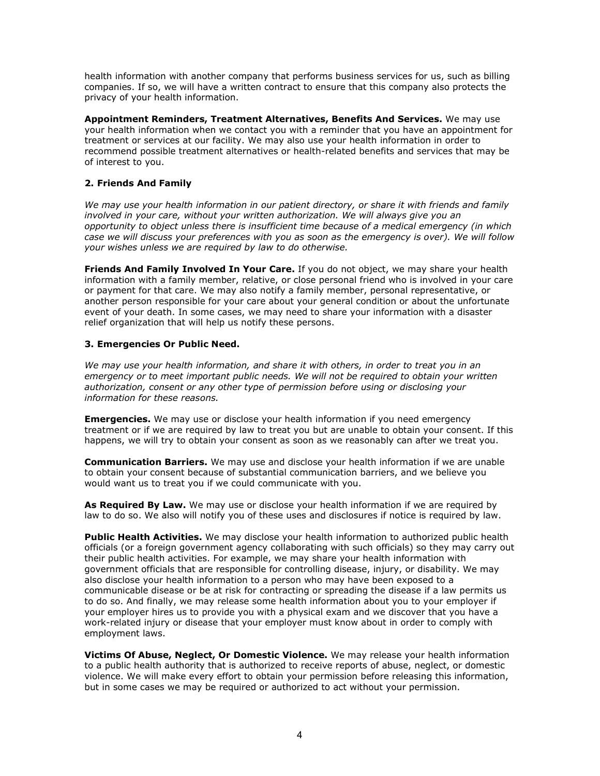health information with another company that performs business services for us, such as billing companies. If so, we will have a written contract to ensure that this company also protects the privacy of your health information.

Appointment Reminders, Treatment Alternatives, Benefits And Services. We may use your health information when we contact you with a reminder that you have an appointment for treatment or services at our facility. We may also use your health information in order to recommend possible treatment alternatives or health-related benefits and services that may be of interest to you.

# 2. Friends And Family

We may use your health information in our patient directory, or share it with friends and family involved in your care, without your written authorization. We will always give you an opportunity to object unless there is insufficient time because of a medical emergency (in which case we will discuss your preferences with you as soon as the emergency is over). We will follow your wishes unless we are required by law to do otherwise.

Friends And Family Involved In Your Care. If you do not object, we may share your health information with a family member, relative, or close personal friend who is involved in your care or payment for that care. We may also notify a family member, personal representative, or another person responsible for your care about your general condition or about the unfortunate event of your death. In some cases, we may need to share your information with a disaster relief organization that will help us notify these persons.

# 3. Emergencies Or Public Need.

We may use your health information, and share it with others, in order to treat you in an emergency or to meet important public needs. We will not be required to obtain your written authorization, consent or any other type of permission before using or disclosing your information for these reasons.

**Emergencies.** We may use or disclose your health information if you need emergency treatment or if we are required by law to treat you but are unable to obtain your consent. If this happens, we will try to obtain your consent as soon as we reasonably can after we treat you.

**Communication Barriers.** We may use and disclose your health information if we are unable to obtain your consent because of substantial communication barriers, and we believe you would want us to treat you if we could communicate with you.

As Required By Law. We may use or disclose your health information if we are required by law to do so. We also will notify you of these uses and disclosures if notice is required by law.

Public Health Activities. We may disclose your health information to authorized public health officials (or a foreign government agency collaborating with such officials) so they may carry out their public health activities. For example, we may share your health information with government officials that are responsible for controlling disease, injury, or disability. We may also disclose your health information to a person who may have been exposed to a communicable disease or be at risk for contracting or spreading the disease if a law permits us to do so. And finally, we may release some health information about you to your employer if your employer hires us to provide you with a physical exam and we discover that you have a work-related injury or disease that your employer must know about in order to comply with employment laws.

Victims Of Abuse, Neglect, Or Domestic Violence. We may release your health information to a public health authority that is authorized to receive reports of abuse, neglect, or domestic violence. We will make every effort to obtain your permission before releasing this information, but in some cases we may be required or authorized to act without your permission.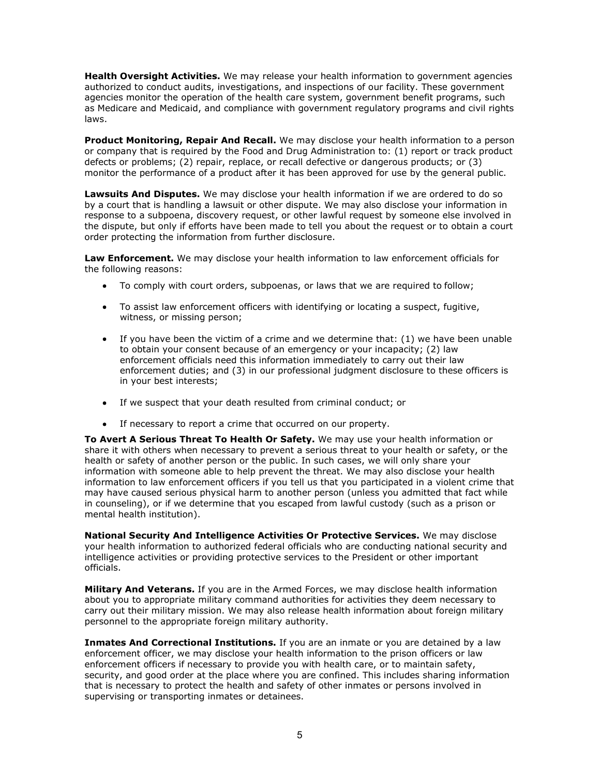Health Oversight Activities. We may release your health information to government agencies authorized to conduct audits, investigations, and inspections of our facility. These government agencies monitor the operation of the health care system, government benefit programs, such as Medicare and Medicaid, and compliance with government regulatory programs and civil rights laws.

Product Monitoring, Repair And Recall. We may disclose your health information to a person or company that is required by the Food and Drug Administration to: (1) report or track product defects or problems; (2) repair, replace, or recall defective or dangerous products; or (3) monitor the performance of a product after it has been approved for use by the general public.

Lawsuits And Disputes. We may disclose your health information if we are ordered to do so by a court that is handling a lawsuit or other dispute. We may also disclose your information in response to a subpoena, discovery request, or other lawful request by someone else involved in the dispute, but only if efforts have been made to tell you about the request or to obtain a court order protecting the information from further disclosure.

Law Enforcement. We may disclose your health information to law enforcement officials for the following reasons:

- To comply with court orders, subpoenas, or laws that we are required to follow;  $\bullet$
- To assist law enforcement officers with identifying or locating a suspect, fugitive,  $\bullet$ witness, or missing person;
- If you have been the victim of a crime and we determine that: (1) we have been unable to obtain your consent because of an emergency or your incapacity; (2) law enforcement officials need this information immediately to carry out their law enforcement duties; and (3) in our professional judgment disclosure to these officers is in your best interests;
- If we suspect that your death resulted from criminal conduct; or
- If necessary to report a crime that occurred on our property.

To Avert A Serious Threat To Health Or Safety. We may use your health information or share it with others when necessary to prevent a serious threat to your health or safety, or the health or safety of another person or the public. In such cases, we will only share your information with someone able to help prevent the threat. We may also disclose your health information to law enforcement officers if you tell us that you participated in a violent crime that may have caused serious physical harm to another person (unless you admitted that fact while in counseling), or if we determine that you escaped from lawful custody (such as a prison or mental health institution).

National Security And Intelligence Activities Or Protective Services. We may disclose your health information to authorized federal officials who are conducting national security and intelligence activities or providing protective services to the President or other important officials.

**Military And Veterans.** If you are in the Armed Forces, we may disclose health information about you to appropriate military command authorities for activities they deem necessary to carry out their military mission. We may also release health information about foreign military personnel to the appropriate foreign military authority.

Inmates And Correctional Institutions. If you are an inmate or you are detained by a law enforcement officer, we may disclose your health information to the prison officers or law enforcement officers if necessary to provide you with health care, or to maintain safety, security, and good order at the place where you are confined. This includes sharing information that is necessary to protect the health and safety of other inmates or persons involved in supervising or transporting inmates or detainees.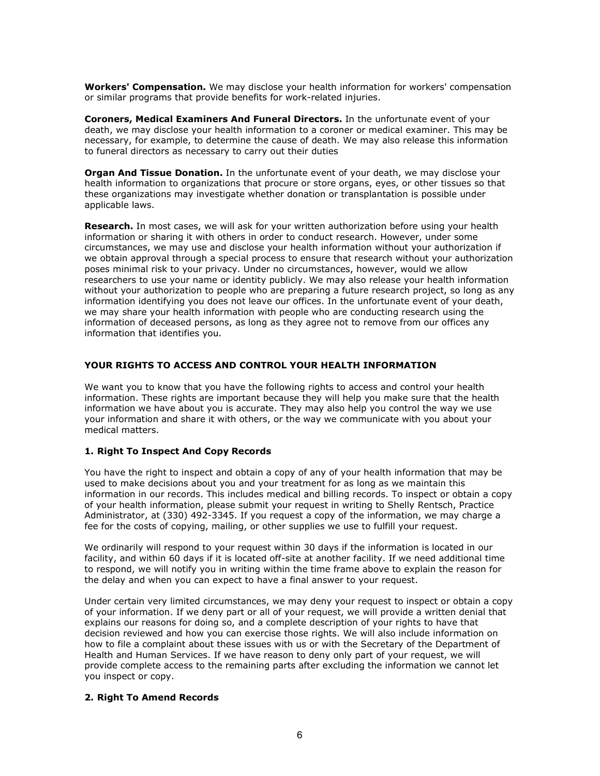Workers' Compensation. We may disclose your health information for workers' compensation or similar programs that provide benefits for work-related injuries.

Coroners, Medical Examiners And Funeral Directors. In the unfortunate event of your death, we may disclose your health information to a coroner or medical examiner. This may be necessary, for example, to determine the cause of death. We may also release this information to funeral directors as necessary to carry out their duties

Organ And Tissue Donation. In the unfortunate event of your death, we may disclose your health information to organizations that procure or store organs, eyes, or other tissues so that these organizations may investigate whether donation or transplantation is possible under applicable laws.

Research. In most cases, we will ask for your written authorization before using your health information or sharing it with others in order to conduct research. However, under some circumstances, we may use and disclose your health information without your authorization if we obtain approval through a special process to ensure that research without your authorization poses minimal risk to your privacy. Under no circumstances, however, would we allow researchers to use your name or identity publicly. We may also release your health information without your authorization to people who are preparing a future research project, so long as any information identifying you does not leave our offices. In the unfortunate event of your death, we may share your health information with people who are conducting research using the information of deceased persons, as long as they agree not to remove from our offices any information that identifies you. these organizations may investigate whether donation or transplantation is<br> **Research.** In most cases, we will ask for your written authorization before<br> **Research.** In most cases, we will ask for your written authorizatio

# YOUR RIGHTS TO ACCESS AND CONTROL YOUR HEALTH INFORMATION

We want you to know that you have the following rights to access and control your health information. These rights are important because they will help you make sure that the health information we have about you is accurate. They may also help you control the way we use your information and share it with others, or the way we communicate with you about your medical matters.

You have the right to inspect and obtain a copy of any of your health information that may be used to make decisions about you and your treatment for as long as we maintain this information in our records. This includes medical and billing records. To inspect or obtain a copy of your health information, please submit your request in writing to Shelly Rentsch, Practice Administrator, at (330) 492-3345. If you request a copy of the information, we may charge a fee for the costs of copying, mailing, or other supplies we use to fulfill your request.

We ordinarily will respond to your request within 30 days if the information is located in our facility, and within 60 days if it is located off-site at another facility. If we need additional time to respond, we will notify you in writing within the time frame above to explain the reason for the delay and when you can expect to have a final answer to your request.

Under certain very limited circumstances, we may deny your request to inspect or obtain a copy of your information. If we deny part or all of your request, we will provide a written denial that explains our reasons for doing so, and a complete description of your rights to have that decision reviewed and how you can exercise those rights. We will also include information on how to file a complaint about these issues with us or with the Secretary of the Department of Health and Human Services. If we have reason to deny only part of your request, we will provide complete access to the remaining parts after excluding the information we cannot let you inspect or copy. **1. Right To Inspect And Copy Records**<br>
You have the right to inspect and obtain a copy of any of your health information that may be<br>
Soused to make decisions about you and your treatment for as long as we maintain this<br>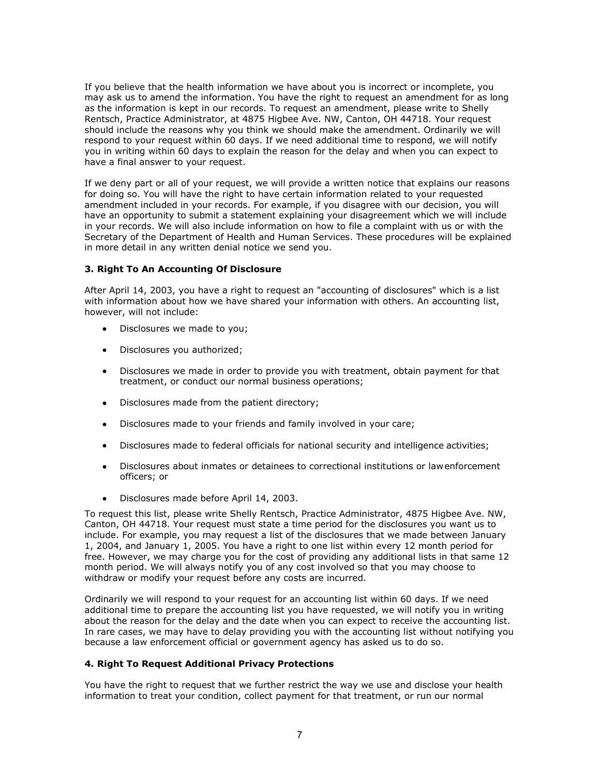If you believe that the health information we have about you is incorrect or incomplete, you may ask us to amend the information. You have the right to request an amendment for as long as the information is kept in our records. To request an amendment, please write to Shelly Rentsch, Practice Administrator, at 4875 Higbee Ave. NW, Canton, OH 44718. Your request should include the reasons why you think we should make the amendment. Ordinarily we will respond to your request within 60 days. If we need additional time to respond, we will notify you in writing within 60 days to explain the reason for the delay and when you can expect to have a final answer to your request.

If we deny part or all of your request, we will provide a written notice that explains our reasons for doing so. You will have the right to have certain information related to your requested amendment included in your records. For example, if you disagree with our decision, you will have an opportunity to submit a statement explaining your disagreement which we will include in your records. We will also include information on how to file a complaint with us or with the Secretary of the Department of Health and Human Services. These procedures will be explained in more detail in any written denial notice we send you.

# 3. Right To An Accounting Of Disclosure

After April 14, 2003, you have a right to request an "accounting of disclosures" which is a list with information about how we have shared your information with others. An accounting list, however, will not include:

- Disclosures we made to you;
- Disclosures you authorized;
- Disclosures we made in order to provide you with treatment, obtain payment for that treatment, or conduct our normal business operations;
- Disclosures made from the patient directory;
- Disclosures made to your friends and family involved in your care;
- Disclosures made to federal officials for national security and intelligence activities;
- Disclosures about inmates or detainees to correctional institutions or law enforcement officers; or
- Disclosures made before April 14, 2003.  $\bullet$

To request this list, please write Shelly Rentsch, Practice Administrator, 4875 Higbee Ave. NW, Canton, OH 44718. Your request must state a time period for the disclosures you want us to include. For example, you may request a list of the disclosures that we made between January 1, 2004, and January 1, 2005. You have a right to one list within every 12 month period for free. However, we may charge you for the cost of providing any additional lists in that same 12 month period. We will always notify you of any cost involved so that you may choose to withdraw or modify your request before any costs are incurred.

Ordinarily we will respond to your request for an accounting list within 60 days. If we need additional time to prepare the accounting list you have requested, we will notify you in writing about the reason for the delay and the date when you can expect to receive the accounting list. In rare cases, we may have to delay providing you with the accounting list without notifying you because a law enforcement official or government agency has asked us to do so.

### 4. Right To Request Additional Privacy Protections

You have the right to request that we further restrict the way we use and disclose your health information to treat your condition, collect payment for that treatment, or run our normal